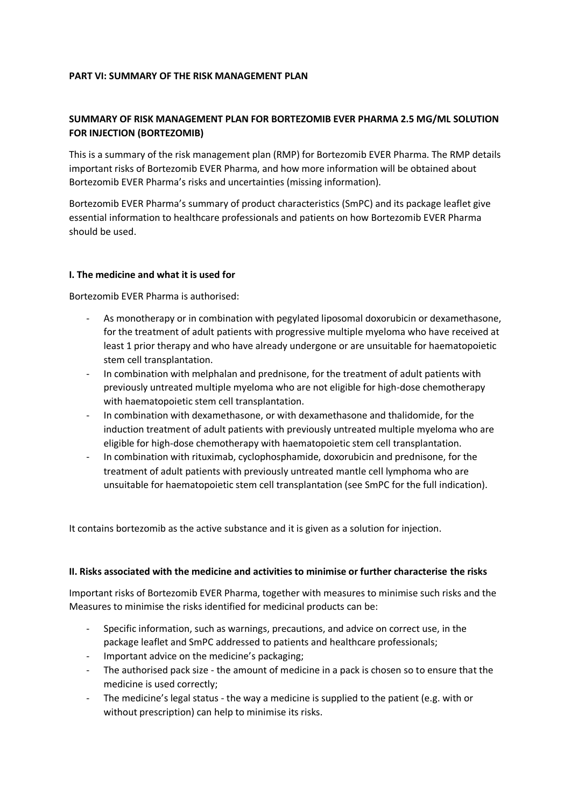### **PART VI: SUMMARY OF THE RISK MANAGEMENT PLAN**

# **SUMMARY OF RISK MANAGEMENT PLAN FOR BORTEZOMIB EVER PHARMA 2.5 MG/ML SOLUTION FOR INJECTION (BORTEZOMIB)**

This is a summary of the risk management plan (RMP) for Bortezomib EVER Pharma. The RMP details important risks of Bortezomib EVER Pharma, and how more information will be obtained about Bortezomib EVER Pharma's risks and uncertainties (missing information).

Bortezomib EVER Pharma's summary of product characteristics (SmPC) and its package leaflet give essential information to healthcare professionals and patients on how Bortezomib EVER Pharma should be used.

### **I. The medicine and what it is used for**

Bortezomib EVER Pharma is authorised:

- As monotherapy or in combination with pegylated liposomal doxorubicin or dexamethasone, for the treatment of adult patients with progressive multiple myeloma who have received at least 1 prior therapy and who have already undergone or are unsuitable for haematopoietic stem cell transplantation.
- In combination with melphalan and prednisone, for the treatment of adult patients with previously untreated multiple myeloma who are not eligible for high-dose chemotherapy with haematopoietic stem cell transplantation.
- In combination with dexamethasone, or with dexamethasone and thalidomide, for the induction treatment of adult patients with previously untreated multiple myeloma who are eligible for high-dose chemotherapy with haematopoietic stem cell transplantation.
- In combination with rituximab, cyclophosphamide, doxorubicin and prednisone, for the treatment of adult patients with previously untreated mantle cell lymphoma who are unsuitable for haematopoietic stem cell transplantation (see SmPC for the full indication).

It contains bortezomib as the active substance and it is given as a solution for injection.

### **II. Risks associated with the medicine and activities to minimise or further characterise the risks**

Important risks of Bortezomib EVER Pharma, together with measures to minimise such risks and the Measures to minimise the risks identified for medicinal products can be:

- Specific information, such as warnings, precautions, and advice on correct use, in the package leaflet and SmPC addressed to patients and healthcare professionals;
- Important advice on the medicine's packaging;
- The authorised pack size the amount of medicine in a pack is chosen so to ensure that the medicine is used correctly;
- The medicine's legal status the way a medicine is supplied to the patient (e.g. with or without prescription) can help to minimise its risks.